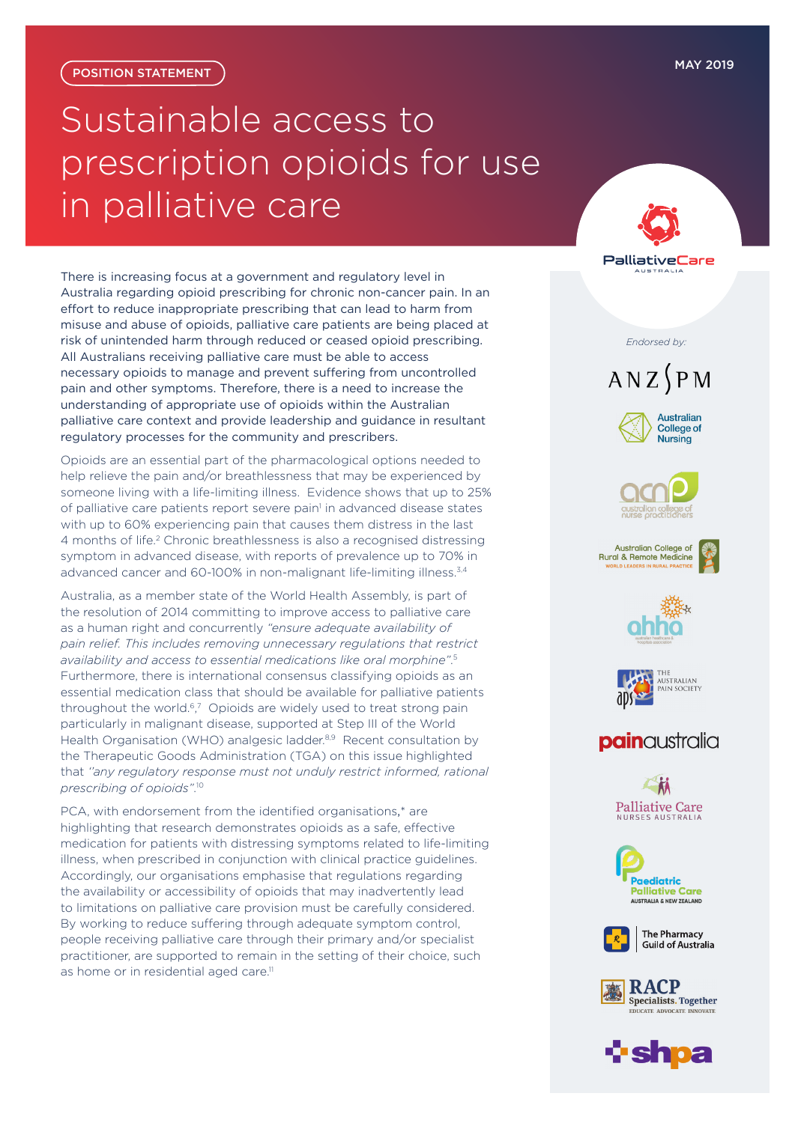## <span id="page-0-0"></span>Sustainable access to prescription opioids for use in palliative care

There is increasing focus at a government and regulatory level in Australia regarding opioid prescribing for chronic non-cancer pain. In an effort to reduce inappropriate prescribing that can lead to harm from misuse and abuse of opioids, palliative care patients are being placed at risk of unintended harm through reduced or ceased opioid prescribing. All Australians receiving palliative care must be able to access necessary opioids to manage and prevent suffering from uncontrolled pain and other symptoms. Therefore, there is a need to increase the understanding of appropriate use of opioids within the Australian palliative care context and provide leadership and guidance in resultant regulatory processes for the community and prescribers.

Opioids are an essential part of the pharmacological options needed to help relieve the pain and/or breathlessness that may be experienced by someone living with a life-limiting illness. Evidence shows that up to 25% of palliative care patients report severe pain<sup>[1](#page-1-0)</sup> in advanced disease states with up to 60% experiencing pain that causes them distress in the last 4 months of life.<sup>[2](#page-1-0)</sup> Chronic breathlessness is also a recognised distressing symptom in advanced disease, with reports of prevalence up to 70% in advanced cancer and 60-100% in non-malignant life-limiting illness.<sup>[3,4](#page-1-0)</sup>

Australia, as a member state of the World Health Assembly, is part of the resolution of 2014 committing to improve access to palliative care as a human right and concurrently *"ensure adequate availability of pain relief. This includes removing unnecessary regulations that restrict availability and access to essential medications like oral morphine"*. [5](#page-1-0) Furthermore, there is international consensus classifying opioids as an essential medication class that should be available for palliative patients throughout the world.<sup>[6](#page-1-0),[7](#page-1-0)</sup> Opioids are widely used to treat strong pain particularly in malignant disease, supported at Step III of the World Health Organisation (WHO) analgesic ladder.<sup>[8,9](#page-1-0)</sup> Recent consultation by the Therapeutic Goods Administration (TGA) on this issue highlighted that *''any regulatory response must not unduly restrict informed, rational prescribing of opioids"*. [10](#page-1-0)

PCA, with endorsement from the identified organisations,\* are highlighting that research demonstrates opioids as a safe, effective medication for patients with distressing symptoms related to life-limiting illness, when prescribed in conjunction with clinical practice guidelines. Accordingly, our organisations emphasise that regulations regarding the availability or accessibility of opioids that may inadvertently lead to limitations on palliative care provision must be carefully considered. By working to reduce suffering through adequate symptom control, people receiving palliative care through their primary and/or specialist practitioner, are supported to remain in the setting of their choice, such as home or in residential aged care.<sup>[11](#page-1-0)</sup>



#### *Endorsed by:*

# $ANZ$  $P$ M











### **pain**australia